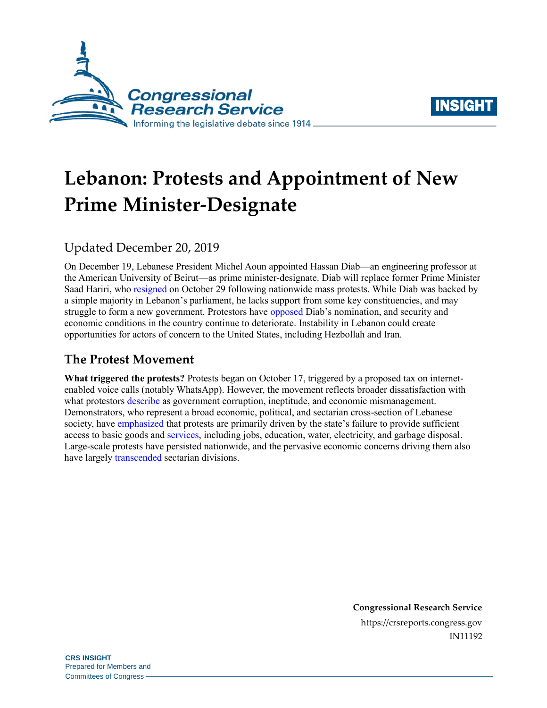



# **Lebanon: Protests and Appointment of New Prime Minister-Designate**

# Updated December 20, 2019

On December 19, Lebanese President Michel Aoun appointed Hassan Diab—an engineering professor at the American University of Beirut—as prime minister-designate. Diab will replace former Prime Minister Saad Hariri, who [resigned](https://www.bloomberg.com/news/articles/2019-10-29/lebanon-s-prime-minister-hariri-says-to-resign-amid-unrest) on October 29 following nationwide mass protests. While Diab was backed by a simple majority in Lebanon's parliament, he lacks support from some key constituencies, and may struggle to form a new government. Protestors have [opposed](http://www.dailystar.com.lb/News/Lebanon-News/2019/Dec-19/497792-protesters-block-roads-to-reject-diabs-designation.ashx) Diab's nomination, and security and economic conditions in the country continue to deteriorate. Instability in Lebanon could create opportunities for actors of concern to the United States, including Hezbollah and Iran.

## **The Protest Movement**

**What triggered the protests?** Protests began on October 17, triggered by a proposed tax on internetenabled voice calls (notably WhatsApp). However, the movement reflects broader dissatisfaction with what protestors [describe](https://www.newyorker.com/news/dispatch/the-making-of-lebanons-october-revolution) as government corruption, ineptitude, and economic mismanagement. Demonstrators, who represent a broad economic, political, and sectarian cross-section of Lebanese society, have [emphasized](https://www.reuters.com/article/us-lebanon-economy-calls/lebanon-scraps-whatsapp-fee-amid-violent-protests-idUSKBN1WW1ZA) that protests are primarily driven by the state's failure to provide sufficient access to basic goods and [services,](https://www.nytimes.com/2019/12/03/world/middleeast/lebanon-protests-corruption.html) including jobs, education, water, electricity, and garbage disposal. Large-scale protests have persisted nationwide, and the pervasive economic concerns driving them also have largely [transcended](https://www.nytimes.com/2019/10/23/world/middleeast/lebanon-protests.html) sectarian divisions.

> **Congressional Research Service** https://crsreports.congress.gov IN11192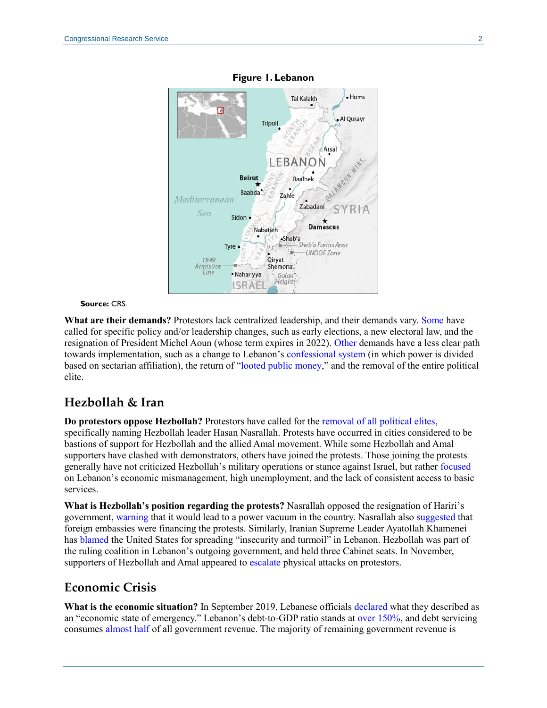

#### **Figure 1. Lebanon**

#### **Source:** CRS.

**What are their demands?** Protestors lack centralized leadership, and their demands vary. [Some](https://mei.edu/blog/need-mediation-lebanon-government-and-protestors-reach-standstill) have called for specific policy and/or leadership changes, such as early elections, a new electoral law, and the resignation of President Michel Aoun (whose term expires in 2022). [Other](https://www.dailystar.com.lb/News/Lebanon-News/2019/Oct-29/494505-hariris-cabinet-reshuffle-bid-hits-bassil-snag.ashx) demands have a less clear path towards implementation, such as a change to Lebanon's [confessional system](https://crsreports.congress.gov/product/pdf/IN/IN10900) (in which power is divided based on sectarian affiliation), the return of ["looted public money,](https://www.dailystar.com.lb/News/Lebanon-News/2019/Oct-29/494505-hariris-cabinet-reshuffle-bid-hits-bassil-snag.ashx)" and the removal of the entire political elite.

### **Hezbollah & Iran**

**Do protestors oppose Hezbollah?** Protestors have called for the [removal of all political elites,](https://www.middleeasteye.net/news/all-them-means-all-them-who-are-lebanons-political-elite) specifically naming Hezbollah leader Hasan Nasrallah. Protests have occurred in cities considered to be bastions of support for Hezbollah and the allied Amal movement. While some Hezbollah and Amal supporters have clashed with demonstrators, others have joined the protests. Those joining the protests generally have not criticized Hezbollah's military operations or stance against Israel, but rather [focused](https://www.middleeasteye.net/news/protests-rage-hezbollahs-heartland-south-lebanon-despite-intimidation) on Lebanon's economic mismanagement, high unemployment, and the lack of consistent access to basic services.

**What is Hezbollah's position regarding the protests?** Nasrallah opposed the resignation of Hariri's government, [warning](https://www.reuters.com/article/us-lebanon-protests-scuffles/hezbollah-warns-of-chaos-civil-war-in-lebanon-idUSKBN1X41IV) that it would lead to a power vacuum in the country. Nasrallah also [suggested](https://www.english.alahednews.com.lb/50271/581) that foreign embassies were financing the protests. Similarly, Iranian Supreme Leader Ayatollah Khamenei has [blamed](https://www.aljazeera.com/news/2019/10/khamenei-stoking-chaos-iraq-lebanon-protests-191030160139954.html) the United States for spreading "insecurity and turmoil" in Lebanon. Hezbollah was part of the ruling coalition in Lebanon's outgoing government, and held three Cabinet seats. In November, supporters of Hezbollah and Amal appeared to [escalate](https://www.washingtonpost.com/world/middle_east/hezbollah-supporters-protesters-clash-in-lebanese-capital/2019/11/24/4289b64c-0f18-11ea-924c-b34d09bbc948_story.html) physical attacks on protestors.

#### **Economic Crisis**

**What is the economic situation?** In September 2019, Lebanese officials [declared](https://apnews.com/15174b976df24e4bab316474f1a347af) what they described as an "economic state of emergency." Lebanon's debt-to-GDP ratio stands at [over 150%,](https://www.imf.org/en/Publications/CR/Issues/2019/10/17/Lebanon-2019-Article-IV-Consultation-Press-Release-Staff-Report-Informational-Annex-and-48733) and debt servicing consumes [almost half](https://www.ft.com/content/c15c88de-fa35-11e9-98fd-4d6c20050229) of all government revenue. The majority of remaining government revenue is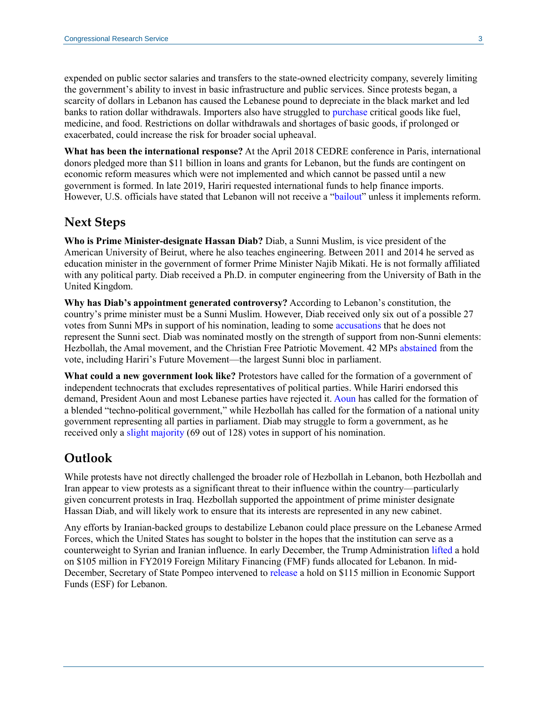expended on public sector salaries and transfers to the state-owned electricity company, severely limiting the government's ability to invest in basic infrastructure and public services. Since protests began, a scarcity of dollars in Lebanon has caused the Lebanese pound to depreciate in the black market and led banks to ration dollar withdrawals. Importers also have struggled to [purchase](https://www.dailystar.com.lb/News/Lebanon-News/2019/Nov-30/496552-officials-scramble-as-economy-deteriorates.ashx) critical goods like fuel, medicine, and food. Restrictions on dollar withdrawals and shortages of basic goods, if prolonged or exacerbated, could increase the risk for broader social upheaval.

**What has been the international response?** At the April 2018 CEDRE conference in Paris, international donors pledged more than \$11 billion in loans and grants for Lebanon, but the funds are contingent on economic reform measures which were not implemented and which cannot be passed until a new government is formed. In late 2019, Hariri requested international funds to help finance imports. However, U.S. officials have stated that Lebanon will not receive a ["bailout"](https://apnews.com/9f5bf4354a9a859f4926c87ed63e2746) unless it implements reform.

#### **Next Steps**

**Who is Prime Minister-designate Hassan Diab?** Diab, a Sunni Muslim, is vice president of the American University of Beirut, where he also teaches engineering. Between 2011 and 2014 he served as education minister in the government of former Prime Minister Najib Mikati. He is not formally affiliated with any political party. Diab received a Ph.D. in computer engineering from the University of Bath in the United Kingdom.

**Why has Diab's appointment generated controversy?** According to Lebanon's constitution, the country's prime minister must be a Sunni Muslim. However, Diab received only six out of a possible 27 votes from Sunni MPs in support of his nomination, leading to some [accusations](http://www.dailystar.com.lb/News/Lebanon-News/2019/Dec-19/497792-protesters-block-roads-to-reject-diabs-designation.ashx) that he does not represent the Sunni sect. Diab was nominated mostly on the strength of support from non-Sunni elements: Hezbollah, the Amal movement, and the Christian Free Patriotic Movement. 42 MPs [abstained](https://www.aljazeera.com/news/2019/12/roadblocks-lebanon-anger-rises-diab-pick-pm-191220091929392.html) from the vote, including Hariri's Future Movement—the largest Sunni bloc in parliament.

**What could a new government look like?** Protestors have called for the formation of a government of independent technocrats that excludes representatives of political parties. While Hariri endorsed this demand, President Aoun and most Lebanese parties have rejected it. [Aoun](https://www.dailystar.com.lb/News/Lebanon-News/2019/Nov-13/495478-rage-as-aoun-urges-protesters-to-go-home.ashx) has called for the formation of a blended "techno-political government," while Hezbollah has called for the formation of a national unity government representing all parties in parliament. Diab may struggle to form a government, as he received only a [slight majority](https://www.dailystar.com.lb/News/Lebanon-News/2019/Dec-19/497733-diab-nominated-as-pm-with-69-votes.ashx) (69 out of 128) votes in support of his nomination.

#### **Outlook**

While protests have not directly challenged the broader role of Hezbollah in Lebanon, both Hezbollah and Iran appear to view protests as a significant threat to their influence within the country—particularly given concurrent protests in Iraq. Hezbollah supported the appointment of prime minister designate Hassan Diab, and will likely work to ensure that its interests are represented in any new cabinet.

Any efforts by Iranian-backed groups to destabilize Lebanon could place pressure on the Lebanese Armed Forces, which the United States has sought to bolster in the hopes that the institution can serve as a counterweight to Syrian and Iranian influence. In early December, the Trump Administration [lifted](https://www.reuters.com/article/us-usa-lebanon-defense/trump-administration-lifts-hold-on-lebanon-security-aid-source-idUSKBN1Y629N?il=0) a hold on \$105 million in FY2019 Foreign Military Financing (FMF) funds allocated for Lebanon. In mid-December, Secretary of State Pompeo intervened to [release](https://www.bloomberg.com/news/articles/2019-12-12/pompeo-intervenes-to-release-115-million-in-aid-for-lebanon) a hold on \$115 million in Economic Support Funds (ESF) for Lebanon.